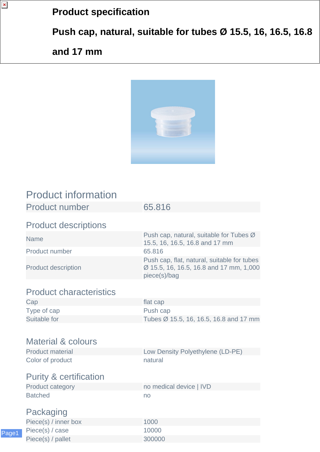## **Product specification**

**Push cap, natural, suitable for tubes Ø 15.5, 16, 16.5, 16.8**

## **and 17 mm**

 $\pmb{\mathsf{x}}$ 



## Product information

| <b>Product number</b>             | 65.816                                                                                                 |
|-----------------------------------|--------------------------------------------------------------------------------------------------------|
| <b>Product descriptions</b>       |                                                                                                        |
| <b>Name</b>                       | Push cap, natural, suitable for Tubes Ø<br>15.5, 16, 16.5, 16.8 and 17 mm                              |
| Product number                    | 65.816                                                                                                 |
| <b>Product description</b>        | Push cap, flat, natural, suitable for tubes<br>Ø 15.5, 16, 16.5, 16.8 and 17 mm, 1,000<br>piece(s)/bag |
| <b>Product characteristics</b>    |                                                                                                        |
| Cap                               | flat cap                                                                                               |
| Type of cap                       | Push cap                                                                                               |
| Suitable for                      | Tubes Ø 15.5, 16, 16.5, 16.8 and 17 mm                                                                 |
|                                   |                                                                                                        |
| <b>Material &amp; colours</b>     |                                                                                                        |
| <b>Product material</b>           | Low Density Polyethylene (LD-PE)                                                                       |
| Color of product                  | natural                                                                                                |
| <b>Purity &amp; certification</b> |                                                                                                        |
| <b>Product category</b>           | no medical device   IVD                                                                                |
| <b>Batched</b>                    | no                                                                                                     |
| Packaging                         |                                                                                                        |
| Piece(s) / inner box              | 1000                                                                                                   |
| Piece(s) / case                   | 10000                                                                                                  |
| Piece(s) / pallet                 | 300000                                                                                                 |